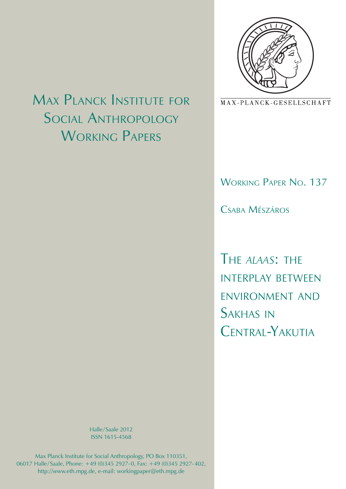

MAX-PLANCK-GESELLSCHAFT

Working Paper No. 137

Csaba Mészáros

The *alaas*: the interplay between environment and Sakhas in CENTRAL-YAKUTIA

# Max Planck Institute for Social Anthropology WORKING PAPERS

Halle/Saale 2012 ISSN 1615-4568

Max Planck Institute for Social Anthropology, PO Box 110351, 06017 Halle/ Saale, Phone: +49 (0)345 2927-0, Fax: +49 (0)345 2927-402, http://www.eth.mpg.de, e-mail: workingpaper@eth.mpg.de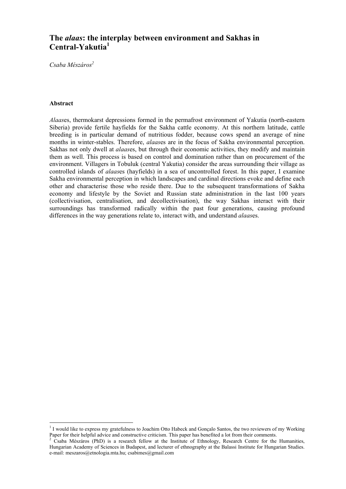# **The** *alaas***: the interplay between environment and Sakhas in Central-Yakutia<sup>1</sup>**

Csaba Mészáros<sup>2</sup>

# **Abstract**

*Alaas*es, thermokarst depressions formed in the permafrost environment of Yakutia (north-eastern Siberia) provide fertile hayfields for the Sakha cattle economy. At this northern latitude, cattle breeding is in particular demand of nutritious fodder, because cows spend an average of nine months in winter-stables. Therefore, *alaas*es are in the focus of Sakha environmental perception. Sakhas not only dwell at *alaas*es, but through their economic activities, they modify and maintain them as well. This process is based on control and domination rather than on procurement of the environment. Villagers in Tobuluk (central Yakutia) consider the areas surrounding their village as controlled islands of *alaas*es (hayfields) in a sea of uncontrolled forest. In this paper, I examine Sakha environmental perception in which landscapes and cardinal directions evoke and define each other and characterise those who reside there. Due to the subsequent transformations of Sakha economy and lifestyle by the Soviet and Russian state administration in the last 100 years (collectivisation, centralisation, and decollectivisation), the way Sakhas interact with their surroundings has transformed radically within the past four generations, causing profound differences in the way generations relate to, interact with, and understand *alaas*es.

<sup>&</sup>lt;u>1</u><br><sup>1</sup> I would like to express my gratefulness to Joachim Otto Habeck and Gonçalo Santos, the two reviewers of my Working

Paper for their helpful advice and constructive criticism. This paper has benefited a lot from their comments.<br><sup>2</sup> Csaba Mészáros (PhD) is a research fellow at the Institute of Ethnology, Research Centre for the Humanities Hungarian Academy of Sciences in Budapest, and lecturer of ethnography at the Balassi Institute for Hungarian Studies. e-mail: meszaros@etnologia.mta.hu; csabimes@gmail.com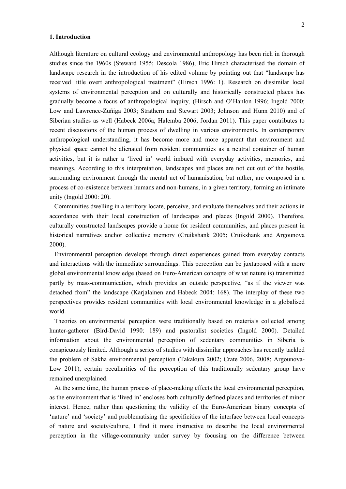# **1. Introduction**

Although literature on cultural ecology and environmental anthropology has been rich in thorough studies since the 1960s (Steward 1955; Descola 1986), Eric Hirsch characterised the domain of landscape research in the introduction of his edited volume by pointing out that "landscape has received little overt anthropological treatment" (Hirsch 1996: 1). Research on dissimilar local systems of environmental perception and on culturally and historically constructed places has gradually become a focus of anthropological inquiry, (Hirsch and O'Hanlon 1996; Ingold 2000; Low and Lawrence-Zuñiga 2003; Strathern and Stewart 2003; Johnson and Hunn 2010) and of Siberian studies as well (Habeck 2006a; Halemba 2006; Jordan 2011). This paper contributes to recent discussions of the human process of dwelling in various environments. In contemporary anthropological understanding, it has become more and more apparent that environment and physical space cannot be alienated from resident communities as a neutral container of human activities, but it is rather a 'lived in' world imbued with everyday activities, memories, and meanings. According to this interpretation, landscapes and places are not cut out of the hostile, surrounding environment through the mental act of humanisation, but rather, are composed in a process of co-existence between humans and non-humans, in a given territory, forming an intimate unity (Ingold 2000: 20).

Communities dwelling in a territory locate, perceive, and evaluate themselves and their actions in accordance with their local construction of landscapes and places (Ingold 2000). Therefore, culturally constructed landscapes provide a home for resident communities, and places present in historical narratives anchor collective memory (Cruikshank 2005; Cruikshank and Argounova 2000).

Environmental perception develops through direct experiences gained from everyday contacts and interactions with the immediate surroundings. This perception can be juxtaposed with a more global environmental knowledge (based on Euro-American concepts of what nature is) transmitted partly by mass-communication, which provides an outside perspective, "as if the viewer was detached from" the landscape (Karjalainen and Habeck 2004: 168). The interplay of these two perspectives provides resident communities with local environmental knowledge in a globalised world.

Theories on environmental perception were traditionally based on materials collected among hunter-gatherer (Bird-David 1990: 189) and pastoralist societies (Ingold 2000). Detailed information about the environmental perception of sedentary communities in Siberia is conspicuously limited. Although a series of studies with dissimilar approaches has recently tackled the problem of Sakha environmental perception (Takakura 2002; Crate 2006, 2008; Argounova-Low 2011), certain peculiarities of the perception of this traditionally sedentary group have remained unexplained.

At the same time, the human process of place-making effects the local environmental perception, as the environment that is 'lived in' encloses both culturally defined places and territories of minor interest. Hence, rather than questioning the validity of the Euro-American binary concepts of 'nature' and 'society' and problematising the specificities of the interface between local concepts of nature and society/culture, I find it more instructive to describe the local environmental perception in the village-community under survey by focusing on the difference between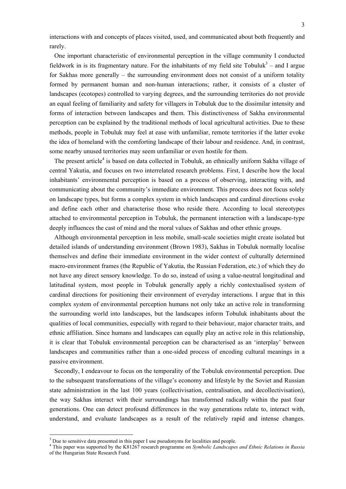interactions with and concepts of places visited, used, and communicated about both frequently and rarely.

One important characteristic of environmental perception in the village community I conducted fieldwork in is its fragmentary nature. For the inhabitants of my field site Tobuluk<sup>3</sup> – and I argue for Sakhas more generally – the surrounding environment does not consist of a uniform totality formed by permanent human and non-human interactions; rather, it consists of a cluster of landscapes (ecotopes) controlled to varying degrees, and the surrounding territories do not provide an equal feeling of familiarity and safety for villagers in Tobuluk due to the dissimilar intensity and forms of interaction between landscapes and them. This distinctiveness of Sakha environmental perception can be explained by the traditional methods of local agricultural activities. Due to these methods, people in Tobuluk may feel at ease with unfamiliar, remote territories if the latter evoke the idea of homeland with the comforting landscape of their labour and residence. And, in contrast, some nearby unused territories may seem unfamiliar or even hostile for them.

The present article<sup>4</sup> is based on data collected in Tobuluk, an ethnically uniform Sakha village of central Yakutia, and focuses on two interrelated research problems. First, I describe how the local inhabitants' environmental perception is based on a process of observing, interacting with, and communicating about the community's immediate environment. This process does not focus solely on landscape types, but forms a complex system in which landscapes and cardinal directions evoke and define each other and characterise those who reside there. According to local stereotypes attached to environmental perception in Tobuluk, the permanent interaction with a landscape-type deeply influences the cast of mind and the moral values of Sakhas and other ethnic groups.

Although environmental perception in less mobile, small-scale societies might create isolated but detailed islands of understanding environment (Brown 1983), Sakhas in Tobuluk normally localise themselves and define their immediate environment in the wider context of culturally determined macro-environment frames (the Republic of Yakutia, the Russian Federation, etc.) of which they do not have any direct sensory knowledge. To do so, instead of using a value-neutral longitudinal and latitudinal system, most people in Tobuluk generally apply a richly contextualised system of cardinal directions for positioning their environment of everyday interactions. I argue that in this complex system of environmental perception humans not only take an active role in transforming the surrounding world into landscapes, but the landscapes inform Tobuluk inhabitants about the qualities of local communities, especially with regard to their behaviour, major character traits, and ethnic affiliation. Since humans and landscapes can equally play an active role in this relationship, it is clear that Tobuluk environmental perception can be characterised as an 'interplay' between landscapes and communities rather than a one-sided process of encoding cultural meanings in a passive environment.

Secondly, I endeavour to focus on the temporality of the Tobuluk environmental perception. Due to the subsequent transformations of the village's economy and lifestyle by the Soviet and Russian state administration in the last 100 years (collectivisation, centralisation, and decollectivisation), the way Sakhas interact with their surroundings has transformed radically within the past four generations. One can detect profound differences in the way generations relate to, interact with, understand, and evaluate landscapes as a result of the relatively rapid and intense changes.

1

<sup>&</sup>lt;sup>3</sup> Due to sensitive data presented in this paper I use pseudonyms for localities and people.<br><sup>4</sup> This paper uses supported by the  $V91267$  research programme on Symbolic Landesgness

This paper was supported by the K81267 research programme on *Symbolic Landscapes and Ethnic Relations in Russia* of the Hungarian State Research Fund.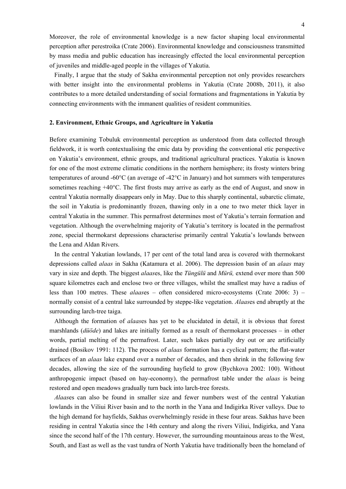Moreover, the role of environmental knowledge is a new factor shaping local environmental perception after perestroika (Crate 2006). Environmental knowledge and consciousness transmitted by mass media and public education has increasingly effected the local environmental perception of juveniles and middle-aged people in the villages of Yakutia.

Finally, I argue that the study of Sakha environmental perception not only provides researchers with better insight into the environmental problems in Yakutia (Crate 2008b, 2011), it also contributes to a more detailed understanding of social formations and fragmentations in Yakutia by connecting environments with the immanent qualities of resident communities.

#### **2. Environment, Ethnic Groups, and Agriculture in Yakutia**

Before examining Tobuluk environmental perception as understood from data collected through fieldwork, it is worth contextualising the emic data by providing the conventional etic perspective on Yakutia's environment, ethnic groups, and traditional agricultural practices. Yakutia is known for one of the most extreme climatic conditions in the northern hemisphere; its frosty winters bring temperatures of around -60 $\rm{^{\circ}C}$  (an average of -42 $\rm{^{\circ}C}$  in January) and hot summers with temperatures sometimes reaching +40°C. The first frosts may arrive as early as the end of August, and snow in central Yakutia normally disappears only in May. Due to this sharply continental, subarctic climate, the soil in Yakutia is predominantly frozen, thawing only in a one to two meter thick layer in central Yakutia in the summer. This permafrost determines most of Yakutia's terrain formation and vegetation. Although the overwhelming majority of Yakutia's territory is located in the permafrost zone, special thermokarst depressions characterise primarily central Yakutia's lowlands between the Lena and Aldan Rivers.

In the central Yakutian lowlands, 17 per cent of the total land area is covered with thermokarst depressions called *alaas* in Sakha (Katamura et al. 2006). The depression basin of an *alaas* may vary in size and depth. The biggest *alaas*es, like the *Tüngülü* and *Mürü,* extend over more than 500 square kilometres each and enclose two or three villages, whilst the smallest may have a radius of less than 100 metres. These *alaas*es – often considered micro-ecosystems (Crate 2006: 3) – normally consist of a central lake surrounded by steppe-like vegetation. *Alaas*es end abruptly at the surrounding larch-tree taiga.

Although the formation of *alaas*es has yet to be elucidated in detail, it is obvious that forest marshlands (*düöde*) and lakes are initially formed as a result of thermokarst processes – in other words, partial melting of the permafrost. Later, such lakes partially dry out or are artificially drained (Bosikov 1991: 112). The process of *alaas* formation has a cyclical pattern; the flat-water surfaces of an *alaas* lake expand over a number of decades, and then shrink in the following few decades, allowing the size of the surrounding hayfield to grow (Bychkova 2002: 100). Without anthropogenic impact (based on hay-economy), the permafrost table under the *alaas* is being restored and open meadows gradually turn back into larch-tree forests.

*Alaas*es can also be found in smaller size and fewer numbers west of the central Yakutian lowlands in the Viliui River basin and to the north in the Yana and Indigirka River valleys. Due to the high demand for hayfields, Sakhas overwhelmingly reside in these four areas. Sakhas have been residing in central Yakutia since the 14th century and along the rivers Viliui, Indigirka, and Yana since the second half of the 17th century. However, the surrounding mountainous areas to the West, South, and East as well as the vast tundra of North Yakutia have traditionally been the homeland of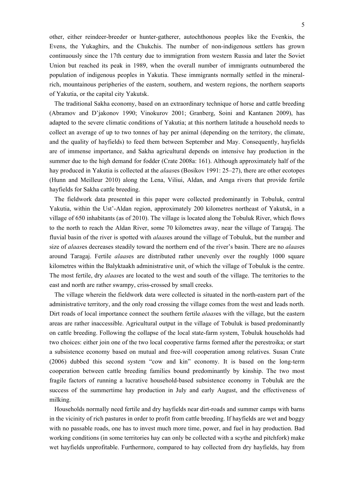other, either reindeer-breeder or hunter-gatherer, autochthonous peoples like the Evenkis, the Evens, the Yukaghirs, and the Chukchis. The number of non-indigenous settlers has grown continuously since the 17th century due to immigration from western Russia and later the Soviet Union but reached its peak in 1989, when the overall number of immigrants outnumbered the population of indigenous peoples in Yakutia. These immigrants normally settled in the mineralrich, mountainous peripheries of the eastern, southern, and western regions, the northern seaports of Yakutia, or the capital city Yakutsk.

The traditional Sakha economy, based on an extraordinary technique of horse and cattle breeding (Abramov and D'jakonov 1990; Vinokurov 2001; Granberg, Soini and Kantanen 2009), has adapted to the severe climatic conditions of Yakutia; at this northern latitude a household needs to collect an average of up to two tonnes of hay per animal (depending on the territory, the climate, and the quality of hayfields) to feed them between September and May. Consequently, hayfields are of immense importance, and Sakha agricultural depends on intensive hay production in the summer due to the high demand for fodder (Crate 2008a: 161). Although approximately half of the hay produced in Yakutia is collected at the *alaas*es (Bosikov 1991: 25–27), there are other ecotopes (Hunn and Meilleur 2010) along the Lena, Viliui, Aldan, and Amga rivers that provide fertile hayfields for Sakha cattle breeding.

The fieldwork data presented in this paper were collected predominantly in Tobuluk, central Yakutia, within the Ust'-Aldan region, approximately 200 kilometres northeast of Yakutsk, in a village of 650 inhabitants (as of 2010). The village is located along the Tobuluk River, which flows to the north to reach the Aldan River, some 70 kilometres away, near the village of Taragaj. The fluvial basin of the river is spotted with *alaas*es around the village of Tobuluk, but the number and size of *alaas*es decreases steadily toward the northern end of the river's basin. There are no *alaas*es around Taragaj. Fertile *alaas*es are distributed rather unevenly over the roughly 1000 square kilometres within the Balyktaakh administrative unit, of which the village of Tobuluk is the centre. The most fertile, dry *alaas*es are located to the west and south of the village. The territories to the east and north are rather swampy, criss-crossed by small creeks.

The village wherein the fieldwork data were collected is situated in the north-eastern part of the administrative territory, and the only road crossing the village comes from the west and leads north. Dirt roads of local importance connect the southern fertile *alaas*es with the village, but the eastern areas are rather inaccessible. Agricultural output in the village of Tobuluk is based predominantly on cattle breeding. Following the collapse of the local state-farm system, Tobuluk households had two choices: either join one of the two local cooperative farms formed after the perestroika; or start a subsistence economy based on mutual and free-will cooperation among relatives. Susan Crate (2006) dubbed this second system "cow and kin" economy. It is based on the long-term cooperation between cattle breeding families bound predominantly by kinship. The two most fragile factors of running a lucrative household-based subsistence economy in Tobuluk are the success of the summertime hay production in July and early August, and the effectiveness of milking.

Households normally need fertile and dry hayfields near dirt-roads and summer camps with barns in the vicinity of rich pastures in order to profit from cattle breeding. If hayfields are wet and boggy with no passable roads, one has to invest much more time, power, and fuel in hay production. Bad working conditions (in some territories hay can only be collected with a scythe and pitchfork) make wet hayfields unprofitable. Furthermore, compared to hay collected from dry hayfields, hay from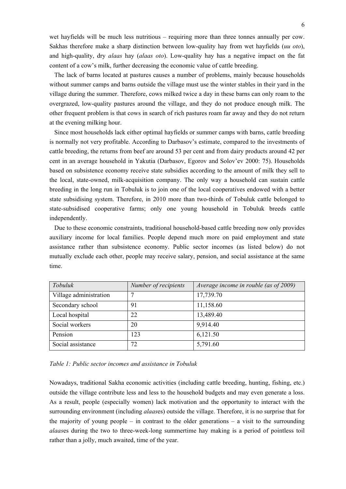wet hayfields will be much less nutritious – requiring more than three tonnes annually per cow. Sakhas therefore make a sharp distinction between low-quality hay from wet hayfields (*uu oto*), and high-quality, dry *alaas* hay (*alaas oto*). Low-quality hay has a negative impact on the fat content of a cow's milk, further decreasing the economic value of cattle breeding.

The lack of barns located at pastures causes a number of problems, mainly because households without summer camps and barns outside the village must use the winter stables in their yard in the village during the summer. Therefore, cows milked twice a day in these barns can only roam to the overgrazed, low-quality pastures around the village, and they do not produce enough milk. The other frequent problem is that cows in search of rich pastures roam far away and they do not return at the evening milking hour.

Since most households lack either optimal hayfields or summer camps with barns, cattle breeding is normally not very profitable. According to Darbasov's estimate, compared to the investments of cattle breeding, the returns from beef are around 53 per cent and from dairy products around 42 per cent in an average household in Yakutia (Darbasov, Egorov and Solov'ev 2000: 75). Households based on subsistence economy receive state subsidies according to the amount of milk they sell to the local, state-owned, milk-acquisition company. The only way a household can sustain cattle breeding in the long run in Tobuluk is to join one of the local cooperatives endowed with a better state subsidising system. Therefore, in 2010 more than two-thirds of Tobuluk cattle belonged to state-subsidised cooperative farms; only one young household in Tobuluk breeds cattle independently.

Due to these economic constraints, traditional household-based cattle breeding now only provides auxiliary income for local families. People depend much more on paid employment and state assistance rather than subsistence economy. Public sector incomes (as listed below) do not mutually exclude each other, people may receive salary, pension, and social assistance at the same time.

| Tobuluk                | Number of recipients | Average income in rouble (as of 2009) |
|------------------------|----------------------|---------------------------------------|
| Village administration | 7                    | 17,739.70                             |
| Secondary school       | 91                   | 11,158.60                             |
| Local hospital         | 22                   | 13,489.40                             |
| Social workers         | 20                   | 9,914.40                              |
| Pension                | 123                  | 6,121.50                              |
| Social assistance      | 72                   | 5,791.60                              |

*Table 1: Public sector incomes and assistance in Tobuluk* 

Nowadays, traditional Sakha economic activities (including cattle breeding, hunting, fishing, etc.) outside the village contribute less and less to the household budgets and may even generate a loss. As a result, people (especially women) lack motivation and the opportunity to interact with the surrounding environment (including *alaas*es) outside the village. Therefore, it is no surprise that for the majority of young people – in contrast to the older generations – a visit to the surrounding *alaas*es during the two to three-week-long summertime hay making is a period of pointless toil rather than a jolly, much awaited, time of the year.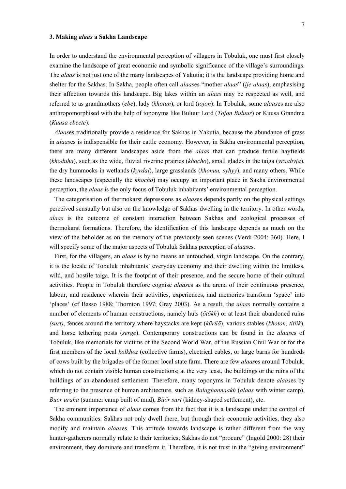#### **3. Making** *alaas* **a Sakha Landscape**

In order to understand the environmental perception of villagers in Tobuluk, one must first closely examine the landscape of great economic and symbolic significance of the village's surroundings. The *alaas* is not just one of the many landscapes of Yakutia; it is the landscape providing home and shelter for the Sakhas. In Sakha, people often call *alaas*es "mother *alaas*" (*ije alaas*), emphasising their affection towards this landscape. Big lakes within an *alaas* may be respected as well, and referred to as grandmothers (*ebe*), lady (*khotun*), or lord (*tojon*). In Tobuluk, some *alaas*es are also anthropomorphised with the help of toponyms like Buluur Lord (*Tojon Buluur*) or Kuusa Grandma (*Kuusa ebeete*).

*Alaas*es traditionally provide a residence for Sakhas in Yakutia, because the abundance of grass in *alaas*es is indispensible for their cattle economy. However, in Sakha environmental perception, there are many different landscapes aside from the *alaas* that can produce fertile hayfields (*khoduha*), such as the wide, fluvial riverine prairies (*khocho*), small glades in the taiga (*yraahyja*), the dry hummocks in wetlands (*kyrdal*), large grasslands (*khonuu, syhyy*), and many others. While these landscapes (especially the *khocho*) may occupy an important place in Sakha environmental perception, the *alaas* is the only focus of Tobuluk inhabitants' environmental perception.

The categorisation of thermokarst depressions as *alaas*es depends partly on the physical settings perceived sensually but also on the knowledge of Sakhas dwelling in the territory. In other words, *alaas* is the outcome of constant interaction between Sakhas and ecological processes of thermokarst formations. Therefore, the identification of this landscape depends as much on the view of the beholder as on the memory of the previously seen scenes (Verdi 2004: 360). Here, I will specify some of the major aspects of Tobuluk Sakhas perception of *alaas*es.

First, for the villagers, an *alaas* is by no means an untouched, virgin landscape. On the contrary, it is the locale of Tobuluk inhabitants' everyday economy and their dwelling within the limitless, wild, and hostile taiga. It is the footprint of their presence, and the secure home of their cultural activities. People in Tobuluk therefore cognise *alaas*es as the arena of their continuous presence, labour, and residence wherein their activities, experiences, and memories transform 'space' into 'places' (cf Basso 1988; Thornton 1997; Gray 2003). As a result, the *alaas* normally contains a number of elements of human constructions, namely huts (*ötökh*) or at least their abandoned ruins *(surt)*, fences around the territory where haystacks are kept (*kürüö*), various stables (*khoton, titiik*), and horse tethering posts (*serge*). Contemporary constructions can be found in the *alaas*es of Tobuluk, like memorials for victims of the Second World War, of the Russian Civil War or for the first members of the local *kolkhoz* (collective farms), electrical cables, or large barns for hundreds of cows built by the brigades of the former local state farm. There are few *alaas*es around Tobuluk, which do not contain visible human constructions; at the very least, the buildings or the ruins of the buildings of an abandoned settlement. Therefore, many toponyms in Tobuluk denote *alaas*es by referring to the presence of human architecture, such as *Balaghannaakh* (*alaas* with winter camp), *Buor uraha* (summer camp built of mud), *Büör surt* (kidney-shaped settlement), etc.

The eminent importance of *alaas* comes from the fact that it is a landscape under the control of Sakha communities. Sakhas not only dwell there, but through their economic activities, they also modify and maintain *alaas*es. This attitude towards landscape is rather different from the way hunter-gatherers normally relate to their territories; Sakhas do not "procure" (Ingold 2000: 28) their environment, they dominate and transform it. Therefore, it is not trust in the "giving environment"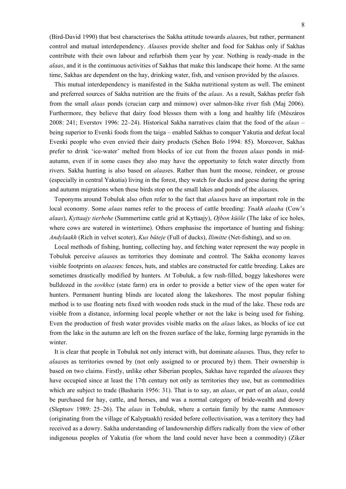(Bird-David 1990) that best characterises the Sakha attitude towards *alaas*es, but rather, permanent control and mutual interdependency. *Alaas*es provide shelter and food for Sakhas only if Sakhas contribute with their own labour and refurbish them year by year. Nothing is ready-made in the *alaas*, and it is the continuous activities of Sakhas that make this landscape their home. At the same time, Sakhas are dependent on the hay, drinking water, fish, and venison provided by the *alaas*es.

This mutual interdependency is manifested in the Sakha nutritional system as well. The eminent and preferred sources of Sakha nutrition are the fruits of the *alaas*. As a result, Sakhas prefer fish from the small *alaas* ponds (crucian carp and minnow) over salmon-like river fish (Maj 2006). Furthermore, they believe that dairy food blesses them with a long and healthy life (Mészáros 2008: 241; Everstov 1996: 22–24). Historical Sakha narratives claim that the food of the *alaas* – being superior to Evenki foods from the taiga – enabled Sakhas to conquer Yakutia and defeat local Evenki people who even envied their dairy products (Sehen Bolo 1994: 85). Moreover, Sakhas prefer to drink 'ice-water' melted from blocks of ice cut from the frozen *alaas* ponds in midautumn, even if in some cases they also may have the opportunity to fetch water directly from rivers. Sakha hunting is also based on *alaas*es. Rather than hunt the moose, reindeer, or grouse (especially in central Yakutia) living in the forest, they watch for ducks and geese during the spring and autumn migrations when these birds stop on the small lakes and ponds of the *alaas*es.

Toponyms around Tobuluk also often refer to the fact that *alaas*es have an important role in the local economy. Some *alaas* names refer to the process of cattle breeding: *Ynakh alaaha* (Cow's *alaas*), *Kyttaajy tierbehe* (Summertime cattle grid at Kyttaajy), *Ojbon küöle* (The lake of ice holes, where cows are watered in wintertime). Others emphasise the importance of hunting and fishing: *Andylaakh* (Rich in velvet scoter), *Kus büteje* (Full of ducks), *Ilimitte* (Net-fishing), and so on.

Local methods of fishing, hunting, collecting hay, and fetching water represent the way people in Tobuluk perceive *alaas*es as territories they dominate and control. The Sakha economy leaves visible footprints on *alaas*es: fences, huts, and stables are constructed for cattle breeding. Lakes are sometimes drastically modified by hunters. At Tobuluk, a few rush-filled, boggy lakeshores were bulldozed in the *sovkhoz* (state farm) era in order to provide a better view of the open water for hunters. Permanent hunting blinds are located along the lakeshores. The most popular fishing method is to use floating nets fixed with wooden rods stuck in the mud of the lake. These rods are visible from a distance, informing local people whether or not the lake is being used for fishing. Even the production of fresh water provides visible marks on the *alaas* lakes, as blocks of ice cut from the lake in the autumn are left on the frozen surface of the lake, forming large pyramids in the winter.

It is clear that people in Tobuluk not only interact with, but dominate *alaas*es. Thus, they refer to *alaas*es as territories owned by (not only assigned to or procured by) them. Their ownership is based on two claims. Firstly, unlike other Siberian peoples, Sakhas have regarded the *alaas*es they have occupied since at least the 17th century not only as territories they use, but as commodities which are subject to trade (Basharin 1956: 31). That is to say, an *alaas*, or part of an *alaas*, could be purchased for hay, cattle, and horses, and was a normal category of bride-wealth and dowry (Sleptsov 1989: 25–26). The *alaas* in Tobuluk, where a certain family by the name Ammosov (originating from the village of Kalyptaakh) resided before collectivisation, was a territory they had received as a dowry. Sakha understanding of landownership differs radically from the view of other indigenous peoples of Yakutia (for whom the land could never have been a commodity) (Ziker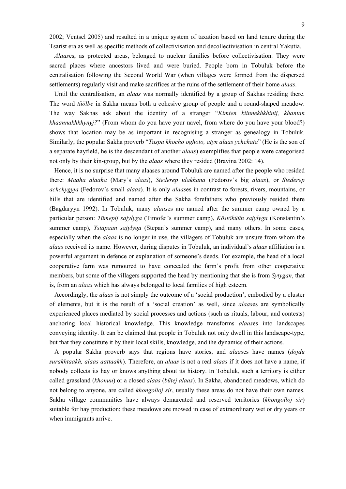2002; Ventsel 2005) and resulted in a unique system of taxation based on land tenure during the Tsarist era as well as specific methods of collectivisation and decollectivisation in central Yakutia.

*Alaas*es, as protected areas, belonged to nuclear families before collectivisation. They were sacred places where ancestors lived and were buried. People born in Tobuluk before the centralisation following the Second World War (when villages were formed from the dispersed settlements) regularly visit and make sacrifices at the ruins of the settlement of their home *alaas*.

Until the centralisation, an *alaas* was normally identified by a group of Sakhas residing there. The word *tüölbe* in Sakha means both a cohesive group of people and a round-shaped meadow. The way Sakhas ask about the identity of a stranger "*Kimten kiinnekhkhinij, khantan khaannakhkhynyj?*" (From whom do you have your navel, from where do you have your blood?) shows that location may be as important in recognising a stranger as genealogy in Tobuluk. Similarly, the popular Sakha proverb "*Tuspa khocho oghoto, atyn alaas ychchata*" (He is the son of a separate hayfield, he is the descendant of another *alaas*) exemplifies that people were categorised not only by their kin-group, but by the *alaas* where they resided (Bravina 2002: 14).

Hence, it is no surprise that many alaases around Tobuluk are named after the people who resided there: *Maaha alaaha* (Mary's *alaas*), *Siederep ulakhana* (Fedorov's big *alaas*), or *Siederep achchygyja* (Fedorov's small *alaas*). It is only *alaas*es in contrast to forests, rivers, mountains, or hills that are identified and named after the Sakha forefathers who previously resided there (Bagdaryyn 1992). In Tobuluk, many *alaas*es are named after the summer camp owned by a particular person: *Tümepij sajylyga* (Timofei's summer camp), *Köstöküün sajylyga* (Konstantin's summer camp), *Ystapaan sajylyga* (Stepan's summer camp), and many others. In some cases, especially when the *alaas* is no longer in use, the villagers of Tobuluk are unsure from whom the *alaas* received its name. However, during disputes in Tobuluk, an individual's *alaas* affiliation is a powerful argument in defence or explanation of someone's deeds. For example, the head of a local cooperative farm was rumoured to have concealed the farm's profit from other cooperative members, but some of the villagers supported the head by mentioning that she is from *Sytygan*, that is, from an *alaas* which has always belonged to local families of high esteem.

Accordingly, the *alaas* is not simply the outcome of a 'social production', embodied by a cluster of elements, but it is the result of a 'social creation' as well, since *alaas*es are symbolically experienced places mediated by social processes and actions (such as rituals, labour, and contests) anchoring local historical knowledge. This knowledge transforms *alaas*es into landscapes conveying identity. It can be claimed that people in Tobuluk not only dwell in this landscape-type, but that they constitute it by their local skills, knowledge, and the dynamics of their actions.

A popular Sakha proverb says that regions have stories, and *alaas*es have names (*dojdu surakhtaakh, alaas aattaakh*). Therefore, an *alaas* is not a real *alaas* if it does not have a name, if nobody collects its hay or knows anything about its history. In Tobuluk, such a territory is either called grassland (*khonuu*) or a closed *alaas* (*bütej alaas*). In Sakha, abandoned meadows, which do not belong to anyone, are called *khongolloj sir*, usually these areas do not have their own names. Sakha village communities have always demarcated and reserved territories (*khongolloj sir*) suitable for hay production; these meadows are mowed in case of extraordinary wet or dry years or when immigrants arrive.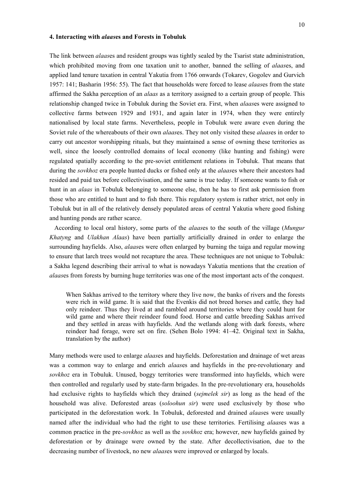#### **4. Interacting with** *alaas***es and Forests in Tobuluk**

The link between *alaas*es and resident groups was tightly sealed by the Tsarist state administration, which prohibited moving from one taxation unit to another, banned the selling of *alaas*es, and applied land tenure taxation in central Yakutia from 1766 onwards (Tokarev, Gogolev and Gurvich 1957: 141; Basharin 1956: 55). The fact that households were forced to lease *alaas*es from the state affirmed the Sakha perception of an *alaas* as a territory assigned to a certain group of people. This relationship changed twice in Tobuluk during the Soviet era. First, when *alaas*es were assigned to collective farms between 1929 and 1931, and again later in 1974, when they were entirely nationalised by local state farms. Nevertheless, people in Tobuluk were aware even during the Soviet rule of the whereabouts of their own *alaas*es. They not only visited these *alaas*es in order to carry out ancestor worshipping rituals, but they maintained a sense of owning these territories as well, since the loosely controlled domains of local economy (like hunting and fishing) were regulated spatially according to the pre-soviet entitlement relations in Tobuluk. That means that during the *sovkhoz* era people hunted ducks or fished only at the *alaas*es where their ancestors had resided and paid tax before collectivisation, and the same is true today. If someone wants to fish or hunt in an *alaas* in Tobuluk belonging to someone else, then he has to first ask permission from those who are entitled to hunt and to fish there. This regulatory system is rather strict, not only in Tobuluk but in all of the relatively densely populated areas of central Yakutia where good fishing and hunting ponds are rather scarce.

According to local oral history, some parts of the *alaas*es to the south of the village (*Mungur Khatyng* and *Ulakhan Alaas*) have been partially artificially drained in order to enlarge the surrounding hayfields. Also, *alaas*es were often enlarged by burning the taiga and regular mowing to ensure that larch trees would not recapture the area. These techniques are not unique to Tobuluk: a Sakha legend describing their arrival to what is nowadays Yakutia mentions that the creation of *alaas*es from forests by burning huge territories was one of the most important acts of the conquest.

When Sakhas arrived to the territory where they live now, the banks of rivers and the forests were rich in wild game. It is said that the Evenkis did not breed horses and cattle, they had only reindeer. Thus they lived at and rambled around territories where they could hunt for wild game and where their reindeer found food. Horse and cattle breeding Sakhas arrived and they settled in areas with hayfields. And the wetlands along with dark forests, where reindeer had forage, were set on fire. (Sehen Bolo 1994: 41–42. Original text in Sakha, translation by the author)

Many methods were used to enlarge *alaas*es and hayfields. Deforestation and drainage of wet areas was a common way to enlarge and enrich *alaas*es and hayfields in the pre-revolutionary and *sovkhoz* era in Tobuluk. Unused, boggy territories were transformed into hayfields, which were then controlled and regularly used by state-farm brigades. In the pre-revolutionary era, households had exclusive rights to hayfields which they drained (*sejmelek sir*) as long as the head of the household was alive. Deforested areas (*soloohun sir*) were used exclusively by those who participated in the deforestation work. In Tobuluk, deforested and drained *alaas*es were usually named after the individual who had the right to use these territories. Fertilising *alaas*es was a common practice in the pre-*sovkhoz* as well as the *sovkhoz* era; however, new hayfields gained by deforestation or by drainage were owned by the state. After decollectivisation, due to the decreasing number of livestock, no new *alaas*es were improved or enlarged by locals.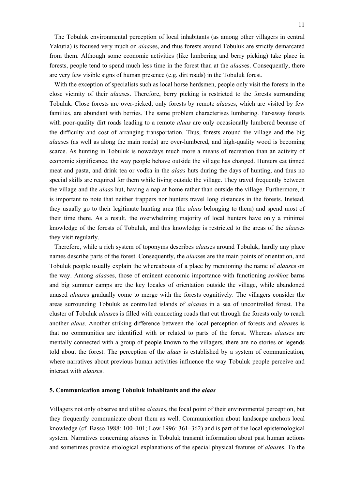The Tobuluk environmental perception of local inhabitants (as among other villagers in central Yakutia) is focused very much on *alaas*es, and thus forests around Tobuluk are strictly demarcated from them. Although some economic activities (like lumbering and berry picking) take place in forests, people tend to spend much less time in the forest than at the *alaas*es. Consequently, there are very few visible signs of human presence (e.g. dirt roads) in the Tobuluk forest.

With the exception of specialists such as local horse herdsmen, people only visit the forests in the close vicinity of their *alaas*es. Therefore, berry picking is restricted to the forests surrounding Tobuluk. Close forests are over-picked; only forests by remote *alaas*es, which are visited by few families, are abundant with berries. The same problem characterises lumbering. Far-away forests with poor-quality dirt roads leading to a remote *alaas* are only occasionally lumbered because of the difficulty and cost of arranging transportation. Thus, forests around the village and the big *alaas*es (as well as along the main roads) are over-lumbered, and high-quality wood is becoming scarce. As hunting in Tobuluk is nowadays much more a means of recreation than an activity of economic significance, the way people behave outside the village has changed. Hunters eat tinned meat and pasta, and drink tea or vodka in the *alaas* huts during the days of hunting, and thus no special skills are required for them while living outside the village. They travel frequently between the village and the *alaas* hut, having a nap at home rather than outside the village. Furthermore, it is important to note that neither trappers nor hunters travel long distances in the forests. Instead, they usually go to their legitimate hunting area (the *alaas* belonging to them) and spend most of their time there. As a result, the overwhelming majority of local hunters have only a minimal knowledge of the forests of Tobuluk, and this knowledge is restricted to the areas of the *alaas*es they visit regularly.

Therefore, while a rich system of toponyms describes *alaas*es around Tobuluk, hardly any place names describe parts of the forest. Consequently, the *alaas*es are the main points of orientation, and Tobuluk people usually explain the whereabouts of a place by mentioning the name of *alaas*es on the way. Among *alaas*es, those of eminent economic importance with functioning *sovkhoz* barns and big summer camps are the key locales of orientation outside the village, while abandoned unused *alaas*es gradually come to merge with the forests cognitively. The villagers consider the areas surrounding Tobuluk as controlled islands of *alaas*es in a sea of uncontrolled forest. The cluster of Tobuluk *alaas*es is filled with connecting roads that cut through the forests only to reach another *alaas*. Another striking difference between the local perception of forests and *alaas*es is that no communities are identified with or related to parts of the forest. Whereas *alaas*es are mentally connected with a group of people known to the villagers, there are no stories or legends told about the forest. The perception of the *alaas* is established by a system of communication, where narratives about previous human activities influence the way Tobuluk people perceive and interact with *alaas*es.

# **5. Communication among Tobuluk Inhabitants and the** *alaas*

Villagers not only observe and utilise *alaas*es, the focal point of their environmental perception, but they frequently communicate about them as well. Communication about landscape anchors local knowledge (cf. Basso 1988: 100–101; Low 1996: 361–362) and is part of the local epistemological system. Narratives concerning *alaas*es in Tobuluk transmit information about past human actions and sometimes provide etiological explanations of the special physical features of *alaas*es. To the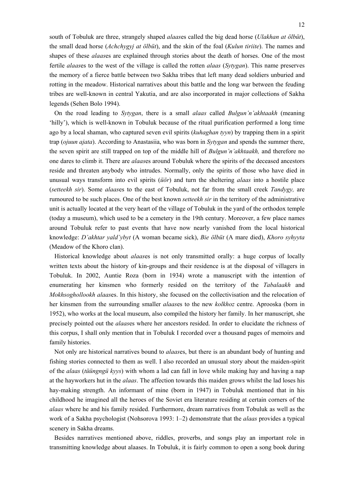south of Tobuluk are three, strangely shaped *alaas*es called the big dead horse (*Ulakhan at ölbüt*), the small dead horse (*Achchygyj at ölbüt*), and the skin of the foal (*Kulun tiriite*). The names and shapes of these *alaas*es are explained through stories about the death of horses. One of the most fertile *alaas*es to the west of the village is called the rotten *alaas* (*Sytygan*). This name preserves the memory of a fierce battle between two Sakha tribes that left many dead soldiers unburied and rotting in the meadow. Historical narratives about this battle and the long war between the feuding tribes are well-known in central Yakutia, and are also incorporated in major collections of Sakha legends (Sehen Bolo 1994).

On the road leading to *Sytygan*, there is a small *alaas* called *Bulgun'n'akhtaakh* (meaning 'hilly'), which is well-known in Tobuluk because of the ritual purification performed a long time ago by a local shaman, who captured seven evil spirits (*kuhaghan tyyn*) by trapping them in a spirit trap (*ojuun ajata*). According to Anastasiia, who was born in *Sytygan* and spends the summer there, the seven spirit are still trapped on top of the middle hill of *Bulgun'n'akhtaakh,* and therefore no one dares to climb it. There are *alaas*es around Tobuluk where the spirits of the deceased ancestors reside and threaten anybody who intrudes. Normally, only the spirits of those who have died in unusual ways transform into evil spirits (*üör*) and turn the sheltering *alaas* into a hostile place (*setteekh sir*). Some *alaas*es to the east of Tobuluk, not far from the small creek *Tandygy,* are rumoured to be such places. One of the best known *setteekh sir* in the territory of the administrative unit is actually located at the very heart of the village of Tobuluk in the yard of the orthodox temple (today a museum), which used to be a cemetery in the 19th century. Moreover, a few place names around Tobuluk refer to past events that have now nearly vanished from the local historical knowledge: *D'akhtar yald'ybyt* (A woman became sick), *Bie ölbüt* (A mare died), *Khoro syhyyta* (Meadow of the Khoro clan).

Historical knowledge about *alaas*es is not only transmitted orally: a huge corpus of locally written texts about the history of kin-groups and their residence is at the disposal of villagers in Tobuluk. In 2002, Auntie Roza (born in 1934) wrote a manuscript with the intention of enumerating her kinsmen who formerly resided on the territory of the *Tabalaakh* and *Mokhsoghollookh alaas*es. In this history, she focused on the collectivisation and the relocation of her kinsmen from the surrounding smaller *alaas*es to the new *kolkhoz* centre. Aprooska (born in 1952), who works at the local museum, also compiled the history her family. In her manuscript, she precisely pointed out the *alaas*es where her ancestors resided. In order to elucidate the richness of this corpus, I shall only mention that in Tobuluk I recorded over a thousand pages of memoirs and family histories.

Not only are historical narratives bound to *alaas*es, but there is an abundant body of hunting and fishing stories connected to them as well. I also recorded an unusual story about the maiden-spirit of the *alaas* (*tüüngngü kyys*) with whom a lad can fall in love while making hay and having a nap at the hayworkers hut in the *alaas*. The affection towards this maiden grows whilst the lad loses his hay-making strength. An informant of mine (born in 1947) in Tobuluk mentioned that in his childhood he imagined all the heroes of the Soviet era literature residing at certain corners of the *alaas* where he and his family resided. Furthermore, dream narratives from Tobuluk as well as the work of a Sakha psychologist (Nohsorova 1993: 1–2) demonstrate that the *alaas* provides a typical scenery in Sakha dreams.

Besides narratives mentioned above, riddles, proverbs, and songs play an important role in transmitting knowledge about alaases. In Tobuluk, it is fairly common to open a song book during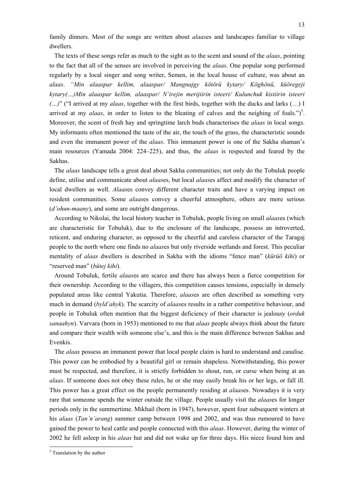family dinners. Most of the songs are written about *alaas*es and landscapes familiar to village dwellers.

The texts of these songs refer as much to the sight as to the scent and sound of the *alaas*, pointing to the fact that all of the senses are involved in perceiving the *alaas*. One popular song performed regularly by a local singer and song writer, Semen, in the local house of culture, was about an *alaas*. *"Min alaaspar kellim, alaaspar/ Mangnajgy kötörü kytary/ Köghönü, küöregeji kytary(…)Min alaaspar kellim, alaaspar/ N'irejin merijiirin isteeri/ Kulunchuk kistiirin isteeri (…)*" ("I arrived at my *alaas*, together with the first birds, together with the ducks and larks (…) I arrived at my *alaas*, in order to listen to the bleating of calves and the neighing of foals.")<sup>5</sup>. Moreover, the scent of fresh hay and springtime larch buds characterises the *alaas* in local songs. My informants often mentioned the taste of the air, the touch of the grass, the characteristic sounds and even the immanent power of the *alaas*. This immanent power is one of the Sakha shaman's main resources (Yamada 2004: 224–225), and thus, the *alaas* is respected and feared by the Sakhas.

The *alaas* landscape tells a great deal about Sakha communities; not only do the Tobuluk people define, utilise and communicate about *alaas*es, but local *alaas*es affect and modify the character of local dwellers as well. *Alaas*es convey different character traits and have a varying impact on resident communities. Some *alaas*es convey a cheerful atmosphere, others are more serious (*d'ohun-maany*), and some are outright dangerous.

According to Nikolai, the local history teacher in Tobuluk, people living on small *alaas*es (which are characteristic for Tobuluk), due to the enclosure of the landscape, possess an introverted, reticent, and enduring character, as opposed to the cheerful and careless character of the Taragaj people to the north where one finds no *alaas*es but only riverside wetlands and forest. This peculiar mentality of *alaas* dwellers is described in Sakha with the idioms "fence man" (*kürüö kihi*) or "reserved man" (*bütej kihi*).

Around Tobuluk, fertile *alaas*es are scarce and there has always been a fierce competition for their ownership. According to the villagers, this competition causes tensions, especially in densely populated areas like central Yakutia. Therefore, *alaas*es are often described as something very much in demand (*byld'ahyk*). The scarcity of *alaas*es results in a rather competitive behaviour, and people in Tobuluk often mention that the biggest deficiency of their character is jealousy (*orduk sanaahyn*). Varvara (born in 1953) mentioned to me that *alaas* people always think about the future and compare their wealth with someone else's, and this is the main difference between Sakhas and Evenkis.

The *alaas* possess an immanent power that local people claim is hard to understand and canalise. This power can be embodied by a beautiful girl or remain shapeless. Notwithstanding, this power must be respected, and therefore, it is strictly forbidden to shout, run, or curse when being at an *alaas*. If someone does not obey these rules, he or she may easily break his or her legs, or fall ill. This power has a great effect on the people permanently residing at *alaas*es. Nowadays it is very rare that someone spends the winter outside the village. People usually visit the *alaas*es for longer periods only in the summertime. Mikhail (born in 1947), however, spent four subsequent winters at his *alaas* (*Tan'n'arang*) summer camp between 1998 and 2002, and was thus rumoured to have gained the power to heal cattle and people connected with this *alaas*. However, during the winter of 2002 he fell asleep in his *alaas* hut and did not wake up for three days. His niece found him and

1

<sup>&</sup>lt;sup>5</sup> Translation by the author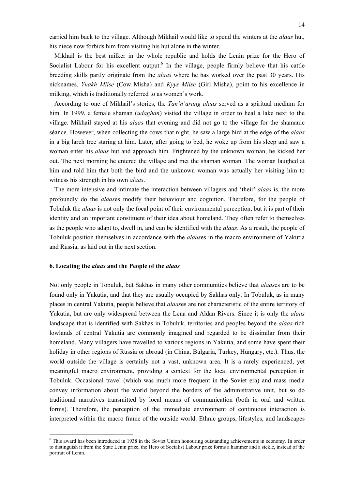carried him back to the village. Although Mikhail would like to spend the winters at the *alaas* hut, his niece now forbids him from visiting his hut alone in the winter.

Mikhail is the best milker in the whole republic and holds the Lenin prize for the Hero of Socialist Labour for his excellent output.<sup>6</sup> In the village, people firmly believe that his cattle breeding skills partly originate from the *alaas* where he has worked over the past 30 years. His nicknames, *Ynakh Miise* (Cow Misha) and *Kyys Miise* (Girl Misha), point to his excellence in milking, which is traditionally referred to as women's work.

According to one of Mikhail's stories, the *Tan'n'arang alaas* served as a spiritual medium for him. In 1999, a female shaman (*udaghan*) visited the village in order to heal a lake next to the village. Mikhail stayed at his *alaas* that evening and did not go to the village for the shamanic séance. However, when collecting the cows that night, he saw a large bird at the edge of the *alaas* in a big larch tree staring at him. Later, after going to bed, he woke up from his sleep and saw a woman enter his *alaas* hut and approach him. Frightened by the unknown woman, he kicked her out. The next morning he entered the village and met the shaman woman. The woman laughed at him and told him that both the bird and the unknown woman was actually her visiting him to witness his strength in his own *alaas*.

The more intensive and intimate the interaction between villagers and 'their' *alaas* is, the more profoundly do the *alaas*es modify their behaviour and cognition. Therefore, for the people of Tobuluk the *alaas* is not only the focal point of their environmental perception, but it is part of their identity and an important constituent of their idea about homeland. They often refer to themselves as the people who adapt to, dwell in, and can be identified with the *alaas*. As a result, the people of Tobuluk position themselves in accordance with the *alaas*es in the macro environment of Yakutia and Russia, as laid out in the next section.

# **6. Locating the** *alaas* **and the People of the** *alaas*

1

Not only people in Tobuluk, but Sakhas in many other communities believe that *alaas*es are to be found only in Yakutia, and that they are usually occupied by Sakhas only. In Tobuluk, as in many places in central Yakutia, people believe that *alaas*es are not characteristic of the entire territory of Yakutia, but are only widespread between the Lena and Aldan Rivers. Since it is only the *alaas* landscape that is identified with Sakhas in Tobuluk, territories and peoples beyond the *alaas*-rich lowlands of central Yakutia are commonly imagined and regarded to be dissimilar from their homeland. Many villagers have travelled to various regions in Yakutia, and some have spent their holiday in other regions of Russia or abroad (in China, Bulgaria, Turkey, Hungary, etc.). Thus, the world outside the village is certainly not a vast, unknown area. It is a rarely experienced, yet meaningful macro environment, providing a context for the local environmental perception in Tobuluk. Occasional travel (which was much more frequent in the Soviet era) and mass media convey information about the world beyond the borders of the administrative unit, but so do traditional narratives transmitted by local means of communication (both in oral and written forms). Therefore, the perception of the immediate environment of continuous interaction is interpreted within the macro frame of the outside world. Ethnic groups, lifestyles, and landscapes

<sup>&</sup>lt;sup>6</sup> This award has been introduced in 1938 in the Soviet Union honouring outstanding achievements in economy. In order to distinguish it from the State Lenin prize, the Hero of Socialist Labour prize forms a hammer and a sickle, instead of the portrait of Lenin.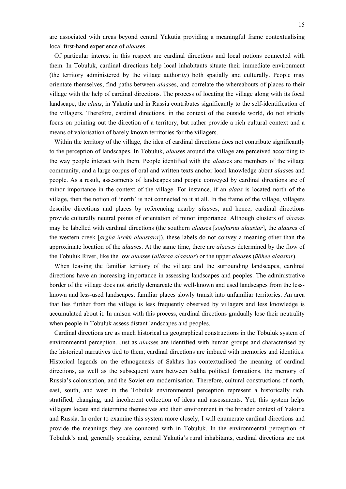are associated with areas beyond central Yakutia providing a meaningful frame contextualising local first-hand experience of *alaas*es.

Of particular interest in this respect are cardinal directions and local notions connected with them. In Tobuluk, cardinal directions help local inhabitants situate their immediate environment (the territory administered by the village authority) both spatially and culturally. People may orientate themselves, find paths between *alaas*es, and correlate the whereabouts of places to their village with the help of cardinal directions. The process of locating the village along with its focal landscape, the *alaas*, in Yakutia and in Russia contributes significantly to the self-identification of the villagers. Therefore, cardinal directions, in the context of the outside world, do not strictly focus on pointing out the direction of a territory, but rather provide a rich cultural context and a means of valorisation of barely known territories for the villagers.

Within the territory of the village, the idea of cardinal directions does not contribute significantly to the perception of landscapes. In Tobuluk, *alaas*es around the village are perceived according to the way people interact with them. People identified with the *alaas*es are members of the village community, and a large corpus of oral and written texts anchor local knowledge about *alaas*es and people. As a result, assessments of landscapes and people conveyed by cardinal directions are of minor importance in the context of the village. For instance, if an *alaas* is located north of the village, then the notion of 'north' is not connected to it at all. In the frame of the village, villagers describe directions and places by referencing nearby *alaas*es, and hence, cardinal directions provide culturally neutral points of orientation of minor importance. Although clusters of *alaas*es may be labelled with cardinal directions (the southern *alaas*es [*soghuruu alaastar*], the *alaas*es of the western creek [*argha ürekh alaastara*]), these labels do not convey a meaning other than the approximate location of the *alaas*es. At the same time, there are *alaas*es determined by the flow of the Tobuluk River, like the low *alaas*es (*allaraa alaastar*) or the upper *alaas*es (*üöhee alaastar*).

When leaving the familiar territory of the village and the surrounding landscapes, cardinal directions have an increasing importance in assessing landscapes and peoples. The administrative border of the village does not strictly demarcate the well-known and used landscapes from the lessknown and less-used landscapes; familiar places slowly transit into unfamiliar territories. An area that lies further from the village is less frequently observed by villagers and less knowledge is accumulated about it. In unison with this process, cardinal directions gradually lose their neutrality when people in Tobuluk assess distant landscapes and peoples.

Cardinal directions are as much historical as geographical constructions in the Tobuluk system of environmental perception. Just as *alaas*es are identified with human groups and characterised by the historical narratives tied to them, cardinal directions are imbued with memories and identities. Historical legends on the ethnogenesis of Sakhas has contextualised the meaning of cardinal directions, as well as the subsequent wars between Sakha political formations, the memory of Russia's colonisation, and the Soviet-era modernisation. Therefore, cultural constructions of north, east, south, and west in the Tobuluk environmental perception represent a historically rich, stratified, changing, and incoherent collection of ideas and assessments. Yet, this system helps villagers locate and determine themselves and their environment in the broader context of Yakutia and Russia. In order to examine this system more closely, I will enumerate cardinal directions and provide the meanings they are connoted with in Tobuluk. In the environmental perception of Tobuluk's and, generally speaking, central Yakutia's rural inhabitants, cardinal directions are not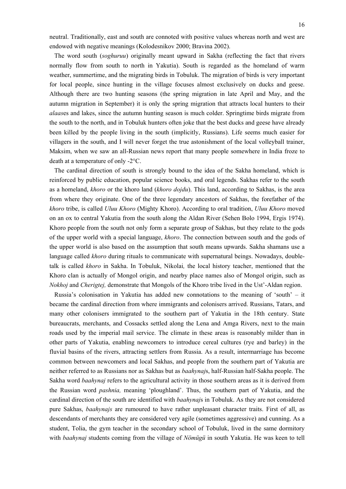neutral. Traditionally, east and south are connoted with positive values whereas north and west are endowed with negative meanings (Kolodesnikov 2000; Bravina 2002).

The word south (*soghuruu*) originally meant upward in Sakha (reflecting the fact that rivers normally flow from south to north in Yakutia). South is regarded as the homeland of warm weather, summertime, and the migrating birds in Tobuluk. The migration of birds is very important for local people, since hunting in the village focuses almost exclusively on ducks and geese. Although there are two hunting seasons (the spring migration in late April and May, and the autumn migration in September) it is only the spring migration that attracts local hunters to their *alaas*es and lakes, since the autumn hunting season is much colder. Springtime birds migrate from the south to the north, and in Tobuluk hunters often joke that the best ducks and geese have already been killed by the people living in the south (implicitly, Russians). Life seems much easier for villagers in the south, and I will never forget the true astonishment of the local volleyball trainer, Maksim, when we saw an all-Russian news report that many people somewhere in India froze to death at a temperature of only -2°C.

The cardinal direction of south is strongly bound to the idea of the Sakha homeland, which is reinforced by public education, popular science books, and oral legends. Sakhas refer to the south as a homeland, *khoro* or the khoro land (*khoro dojdu*). This land, according to Sakhas, is the area from where they originate. One of the three legendary ancestors of Sakhas, the forefather of the *khoro* tribe, is called *Uluu Khoro* (Mighty Khoro). According to oral tradition, *Uluu Khoro* moved on an ox to central Yakutia from the south along the Aldan River (Sehen Bolo 1994, Ergis 1974). Khoro people from the south not only form a separate group of Sakhas, but they relate to the gods of the upper world with a special language, *khoro*. The connection between south and the gods of the upper world is also based on the assumption that south means upwards. Sakha shamans use a language called *khoro* during rituals to communicate with supernatural beings. Nowadays, doubletalk is called *khoro* in Sakha. In Tobuluk, Nikolai*,* the local history teacher, mentioned that the Khoro clan is actually of Mongol origin, and nearby place names also of Mongol origin, such as *Nokhoj* and *Cherigtej,* demonstrate that Mongols of the Khoro tribe lived in the Ust'-Aldan region.

Russia's colonisation in Yakutia has added new connotations to the meaning of 'south' – it became the cardinal direction from where immigrants and colonisers arrived. Russians, Tatars, and many other colonisers immigrated to the southern part of Yakutia in the 18th century. State bureaucrats, merchants, and Cossacks settled along the Lena and Amga Rivers, next to the main roads used by the imperial mail service. The climate in these areas is reasonably milder than in other parts of Yakutia, enabling newcomers to introduce cereal cultures (rye and barley) in the fluvial basins of the rivers, attracting settlers from Russia. As a result, intermarriage has become common between newcomers and local Sakhas, and people from the southern part of Yakutia are neither referred to as Russians nor as Sakhas but as *baahynaj*s, half-Russian half-Sakha people. The Sakha word *baahynaj* refers to the agricultural activity in those southern areas as it is derived from the Russian word *pashnia,* meaning 'ploughland'. Thus, the southern part of Yakutia, and the cardinal direction of the south are identified with *baahynaj*s in Tobuluk. As they are not considered pure Sakhas, *baahynajs* are rumoured to have rather unpleasant character traits. First of all, as descendants of merchants they are considered very agile (sometimes aggressive) and cunning. As a student, Tolia, the gym teacher in the secondary school of Tobuluk, lived in the same dormitory with *baahynaj* students coming from the village of *Nömügü* in south Yakutia. He was keen to tell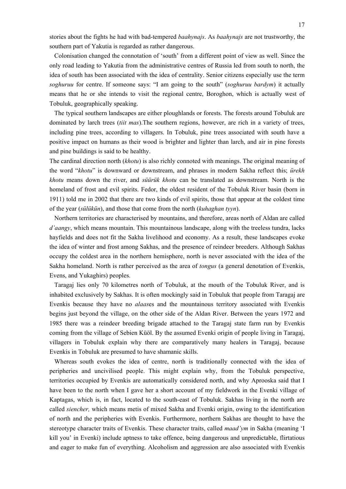stories about the fights he had with bad-tempered *baahynajs*. As *baahynajs* are not trustworthy, the southern part of Yakutia is regarded as rather dangerous.

Colonisation changed the connotation of 'south' from a different point of view as well. Since the only road leading to Yakutia from the administrative centres of Russia led from south to north, the idea of south has been associated with the idea of centrality. Senior citizens especially use the term *soghuruu* for centre. If someone says: "I am going to the south" (*soghuruu bardym*) it actually means that he or she intends to visit the regional centre, Boroghon, which is actually west of Tobuluk, geographically speaking.

The typical southern landscapes are either ploughlands or forests. The forests around Tobuluk are dominated by larch trees (*tiit mas*).The southern regions, however, are rich in a variety of trees, including pine trees, according to villagers. In Tobuluk, pine trees associated with south have a positive impact on humans as their wood is brighter and lighter than larch, and air in pine forests and pine buildings is said to be healthy.

The cardinal direction north (*khotu*) is also richly connoted with meanings. The original meaning of the word "*khotu*" is downward or downstream, and phrases in modern Sakha reflect this; *ürekh khotu* means down the river, and *süürük khotu* can be translated as downstream. North is the homeland of frost and evil spirits. Fedor, the oldest resident of the Tobuluk River basin (born in 1911) told me in 2002 that there are two kinds of evil spirits, those that appear at the coldest time of the year (*sülükün*), and those that come from the north (*kuhaghan tyyn*).

Northern territories are characterised by mountains, and therefore, areas north of Aldan are called *d'aangy*, which means mountain. This mountainous landscape, along with the treeless tundra, lacks hayfields and does not fit the Sakha livelihood and economy. As a result, these landscapes evoke the idea of winter and frost among Sakhas, and the presence of reindeer breeders. Although Sakhas occupy the coldest area in the northern hemisphere, north is never associated with the idea of the Sakha homeland. North is rather perceived as the area of *tongus* (a general denotation of Evenkis, Evens, and Yukaghirs) peoples.

Taragaj lies only 70 kilometres north of Tobuluk, at the mouth of the Tobuluk River, and is inhabited exclusively by Sakhas. It is often mockingly said in Tobuluk that people from Taragaj are Evenkis because they have no *alaas*es and the mountainous territory associated with Evenkis begins just beyond the village, on the other side of the Aldan River. Between the years 1972 and 1985 there was a reindeer breeding brigade attached to the Taragaj state farm run by Evenkis coming from the village of Sebien Küöl. By the assumed Evenki origin of people living in Taragaj, villagers in Tobuluk explain why there are comparatively many healers in Taragaj, because Evenkis in Tobuluk are presumed to have shamanic skills.

Whereas south evokes the idea of centre, north is traditionally connected with the idea of peripheries and uncivilised people. This might explain why, from the Tobuluk perspective, territories occupied by Evenkis are automatically considered north, and why Aprooska said that I have been to the north when I gave her a short account of my fieldwork in the Evenki village of Kaptagas, which is, in fact, located to the south-east of Tobuluk. Sakhas living in the north are called *siencher,* which means metis of mixed Sakha and Evenki origin, owing to the identification of north and the peripheries with Evenkis. Furthermore, northern Sakhas are thought to have the stereotype character traits of Evenkis. These character traits, called *maad'ym* in Sakha (meaning 'I kill you' in Evenki) include aptness to take offence, being dangerous and unpredictable, flirtatious and eager to make fun of everything. Alcoholism and aggression are also associated with Evenkis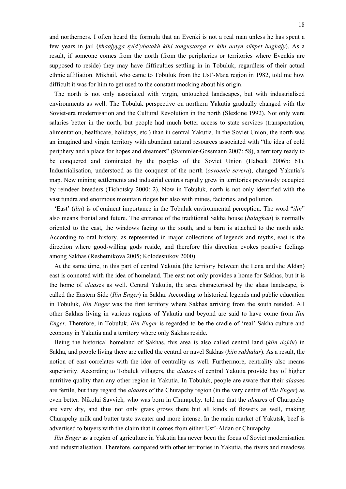and northerners. I often heard the formula that an Evenki is not a real man unless he has spent a few years in jail (*khaajyyga syld'ybatakh kihi tongustarga er kihi aatyn sükpet baghajy*). As a result, if someone comes from the north (from the peripheries or territories where Evenkis are supposed to reside) they may have difficulties settling in in Tobuluk, regardless of their actual ethnic affiliation. Mikhail, who came to Tobuluk from the Ust'-Maia region in 1982, told me how difficult it was for him to get used to the constant mocking about his origin.

The north is not only associated with virgin, untouched landscapes, but with industrialised environments as well. The Tobuluk perspective on northern Yakutia gradually changed with the Soviet-era modernisation and the Cultural Revolution in the north (Slezkine 1992). Not only were salaries better in the north, but people had much better access to state services (transportation, alimentation, healthcare, holidays, etc.) than in central Yakutia. In the Soviet Union, the north was an imagined and virgin territory with abundant natural resources associated with "the idea of cold periphery and a place for hopes and dreamers" (Stammler-Gossmann 2007: 58), a territory ready to be conquered and dominated by the peoples of the Soviet Union (Habeck 2006b: 61). Industrialisation, understood as the conquest of the north (*osvoenie severa*), changed Yakutia's map. New mining settlements and industrial centres rapidly grew in territories previously occupied by reindeer breeders (Tichotsky 2000: 2). Now in Tobuluk, north is not only identified with the vast tundra and enormous mountain ridges but also with mines, factories, and pollution.

'East' (*ilin*) is of eminent importance in the Tobuluk environmental perception. The word "*ilin*" also means frontal and future. The entrance of the traditional Sakha house (*balaghan*) is normally oriented to the east, the windows facing to the south, and a barn is attached to the north side. According to oral history, as represented in major collections of legends and myths, east is the direction where good-willing gods reside, and therefore this direction evokes positive feelings among Sakhas (Reshetnikova 2005; Kolodesnikov 2000).

At the same time, in this part of central Yakutia (the territory between the Lena and the Aldan) east is connoted with the idea of homeland. The east not only provides a home for Sakhas, but it is the home of *alaas*es as well. Central Yakutia, the area characterised by the alaas landscape, is called the Eastern Side (*Ilin Enger*) in Sakha. According to historical legends and public education in Tobuluk, *Ilin Enger* was the first territory where Sakhas arriving from the south resided. All other Sakhas living in various regions of Yakutia and beyond are said to have come from *Ilin Enger*. Therefore, in Tobuluk, *Ilin Enger* is regarded to be the cradle of 'real' Sakha culture and economy in Yakutia and a territory where only Sakhas reside.

Being the historical homeland of Sakhas, this area is also called central land (*kiin dojdu*) in Sakha, and people living there are called the central or navel Sakhas (*kiin sakhalar*). As a result, the notion of east correlates with the idea of centrality as well. Furthermore, centrality also means superiority. According to Tobuluk villagers, the *alaas*es of central Yakutia provide hay of higher nutritive quality than any other region in Yakutia. In Tobuluk, people are aware that their *alaas*es are fertile, but they regard the *alaas*es of the Churapchy region (in the very centre of *Ilin Enger*) as even better. Nikolai Savvich*,* who was born in Churapchy*,* told me that the *alaas*es of Churapchy are very dry, and thus not only grass grows there but all kinds of flowers as well, making Churapchy milk and butter taste sweater and more intense. In the main market of Yakutsk, beef is advertised to buyers with the claim that it comes from either Ust'-Aldan or Churapchy.

*Ilin Enger* as a region of agriculture in Yakutia has never been the focus of Soviet modernisation and industrialisation. Therefore, compared with other territories in Yakutia, the rivers and meadows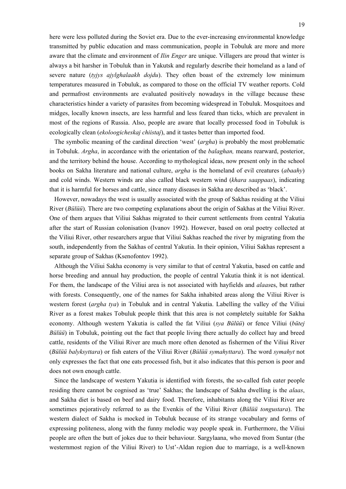here were less polluted during the Soviet era. Due to the ever-increasing environmental knowledge transmitted by public education and mass communication, people in Tobuluk are more and more aware that the climate and environment of *Ilin Enger* are unique. Villagers are proud that winter is always a bit harsher in Tobuluk than in Yakutsk and regularly describe their homeland as a land of severe nature (*tyjys ajylghalaakh dojdu*). They often boast of the extremely low minimum temperatures measured in Tobuluk, as compared to those on the official TV weather reports. Cold and permafrost environments are evaluated positively nowadays in the village because these characteristics hinder a variety of parasites from becoming widespread in Tobuluk. Mosquitoes and midges, locally known insects, are less harmful and less feared than ticks, which are prevalent in most of the regions of Russia. Also, people are aware that locally processed food in Tobuluk is ecologically clean (*ekoloogicheskaj chiistaj*), and it tastes better than imported food.

The symbolic meaning of the cardinal direction 'west' (*argha*) is probably the most problematic in Tobuluk. *Argha*, in accordance with the orientation of the *balaghan,* means rearward, posterior, and the territory behind the house. According to mythological ideas, now present only in the school books on Sakha literature and national culture, *argha* is the homeland of evil creatures (*abaahy*) and cold winds. Western winds are also called black western wind (*khara saappaas*), indicating that it is harmful for horses and cattle, since many diseases in Sakha are described as 'black'.

However, nowadays the west is usually associated with the group of Sakhas residing at the Viliui River (*Bülüü*). There are two competing explanations about the origin of Sakhas at the Viliui River. One of them argues that Viliui Sakhas migrated to their current settlements from central Yakutia after the start of Russian colonisation (Ivanov 1992). However, based on oral poetry collected at the Viliui River, other researchers argue that Viliui Sakhas reached the river by migrating from the south, independently from the Sakhas of central Yakutia. In their opinion, Viliui Sakhas represent a separate group of Sakhas (Ksenofontov 1992).

Although the Viliui Sakha economy is very similar to that of central Yakutia, based on cattle and horse breeding and annual hay production, the people of central Yakutia think it is not identical. For them, the landscape of the Viliui area is not associated with hayfields and *alaas*es, but rather with forests. Consequently, one of the names for Sakha inhabited areas along the Viliui River is western forest (*argha tya*) in Tobuluk and in central Yakutia. Labelling the valley of the Viliui River as a forest makes Tobuluk people think that this area is not completely suitable for Sakha economy. Although western Yakutia is called the fat Viliui (*sya Bülüü*) or fence Viliui (*bütej Bülüü*) in Tobuluk, pointing out the fact that people living there actually do collect hay and breed cattle, residents of the Viliui River are much more often denoted as fishermen of the Viliui River (*Bülüü balyksyttara*) or fish eaters of the Viliui River (*Bülüü symahyttara*). The word *symahyt* not only expresses the fact that one eats processed fish, but it also indicates that this person is poor and does not own enough cattle.

Since the landscape of western Yakutia is identified with forests, the so-called fish eater people residing there cannot be cognised as 'true' Sakhas; the landscape of Sakha dwelling is the *alaas*, and Sakha diet is based on beef and dairy food. Therefore, inhabitants along the Viliui River are sometimes pejoratively referred to as the Evenkis of the Viliui River (*Bülüü tongustara*). The western dialect of Sakha is mocked in Tobuluk because of its strange vocabulary and forms of expressing politeness, along with the funny melodic way people speak in. Furthermore, the Viliui people are often the butt of jokes due to their behaviour. Sargylaana, who moved from Suntar (the westernmost region of the Viliui River) to Ust'-Aldan region due to marriage, is a well-known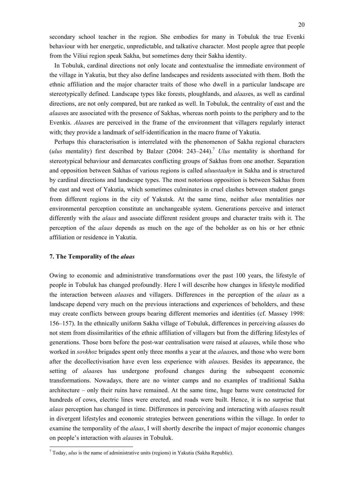secondary school teacher in the region. She embodies for many in Tobuluk the true Evenki behaviour with her energetic, unpredictable, and talkative character. Most people agree that people from the Viliui region speak Sakha, but sometimes deny their Sakha identity.

In Tobuluk, cardinal directions not only locate and contextualise the immediate environment of the village in Yakutia, but they also define landscapes and residents associated with them. Both the ethnic affiliation and the major character traits of those who dwell in a particular landscape are stereotypically defined. Landscape types like forests, ploughlands, and *alaas*es, as well as cardinal directions, are not only compared, but are ranked as well. In Tobuluk, the centrality of east and the *alaas*es are associated with the presence of Sakhas, whereas north points to the periphery and to the Evenkis. *Alaas*es are perceived in the frame of the environment that villagers regularly interact with; they provide a landmark of self-identification in the macro frame of Yakutia.

Perhaps this characterisation is interrelated with the phenomenon of Sakha regional characters (*ulus* mentality) first described by Balzer (2004: 243–244).7 *Ulus* mentality is shorthand for stereotypical behaviour and demarcates conflicting groups of Sakhas from one another. Separation and opposition between Sakhas of various regions is called *uluustaahyn* in Sakha and is structured by cardinal directions and landscape types. The most notorious opposition is between Sakhas from the east and west of Yakutia, which sometimes culminates in cruel clashes between student gangs from different regions in the city of Yakutsk. At the same time, neither *ulus* mentalities nor environmental perception constitute an unchangeable system. Generations perceive and interact differently with the *alaas* and associate different resident groups and character traits with it. The perception of the *alaas* depends as much on the age of the beholder as on his or her ethnic affiliation or residence in Yakutia.

#### **7. The Temporality of the** *alaas*

1

Owing to economic and administrative transformations over the past 100 years, the lifestyle of people in Tobuluk has changed profoundly. Here I will describe how changes in lifestyle modified the interaction between *alaas*es and villagers. Differences in the perception of the *alaas* as a landscape depend very much on the previous interactions and experiences of beholders, and these may create conflicts between groups bearing different memories and identities (cf. Massey 1998: 156–157). In the ethnically uniform Sakha village of Tobuluk, differences in perceiving *alaas*es do not stem from dissimilarities of the ethnic affiliation of villagers but from the differing lifestyles of generations. Those born before the post-war centralisation were raised at *alaas*es, while those who worked in *sovkhoz* brigades spent only three months a year at the *alaas*es, and those who were born after the decollectivisation have even less experience with *alaas*es. Besides its appearance, the setting of *alaas*es has undergone profound changes during the subsequent economic transformations. Nowadays, there are no winter camps and no examples of traditional Sakha architecture – only their ruins have remained. At the same time, huge barns were constructed for hundreds of cows, electric lines were erected, and roads were built. Hence, it is no surprise that *alaas* perception has changed in time. Differences in perceiving and interacting with *alaas*es result in divergent lifestyles and economic strategies between generations within the village. In order to examine the temporality of the *alaas*, I will shortly describe the impact of major economic changes on people's interaction with *alaas*es in Tobuluk.

 $<sup>7</sup>$  Today, *ulus* is the name of administrative units (regions) in Yakutia (Sakha Republic).</sup>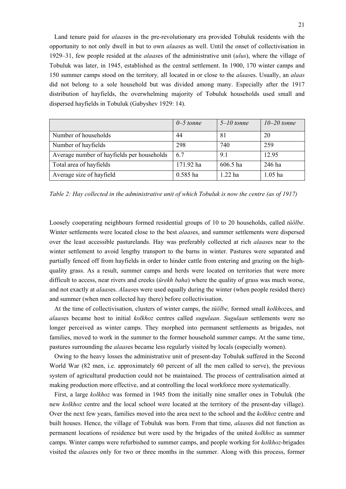Land tenure paid for *alaas*es in the pre-revolutionary era provided Tobuluk residents with the opportunity to not only dwell in but to own *alaas*es as well. Until the onset of collectivisation in 1929–31, few people resided at the *alaas*es of the administrative unit (*ulus*), where the village of Tobuluk was later, in 1945, established as the central settlement. In 1900, 170 winter camps and 150 summer camps stood on the territory*,* all located in or close to the *alaas*es. Usually, an *alaas*  did not belong to a sole household but was divided among many. Especially after the 1917 distribution of hayfields, the overwhelming majority of Tobuluk households used small and dispersed hayfields in Tobuluk (Gabyshev 1929: 14).

|                                            | $0 - 5$ tonne | $5-10$ tonne | $10-20$ tonne |
|--------------------------------------------|---------------|--------------|---------------|
| Number of households                       | 44            | 81           | 20            |
| Number of hayfields                        | 298           | 740          | 259           |
| Average number of hayfields per households | 67            | 9.1          | 12.95         |
| Total area of hayfields                    | 171.92 ha     | 606.5 ha     | 246 ha        |
| Average size of hayfield                   | $0.585$ ha    | $1.22$ ha    | $1.05$ ha     |

*Table 2: Hay collected in the administrative unit of which Tobuluk is now the centre (as of 1917)* 

Loosely cooperating neighbours formed residential groups of 10 to 20 households, called *tüölbe*. Winter settlements were located close to the best *alaas*es, and summer settlements were dispersed over the least accessible pasturelands. Hay was preferably collected at rich *alaas*es near to the winter settlement to avoid lengthy transport to the barns in winter. Pastures were separated and partially fenced off from hayfields in order to hinder cattle from entering and grazing on the highquality grass. As a result, summer camps and herds were located on territories that were more difficult to access, near rivers and creeks (*ürekh baha*) where the quality of grass was much worse, and not exactly at *alaas*es. *Alaas*es were used equally during the winter (when people resided there) and summer (when men collected hay there) before collectivisation.

At the time of collectivisation, clusters of winter camps, the *tüölbe,* formed small *kolkhoz*es, and *alaas*es became host to initial *kolkhoz* centres called *sugulaan*. *Sugulaan* settlements were no longer perceived as winter camps. They morphed into permanent settlements as brigades, not families, moved to work in the summer to the former household summer camps. At the same time, pastures surrounding the *alaas*es became less regularly visited by locals (especially women).

Owing to the heavy losses the administrative unit of present-day Tobuluk suffered in the Second World War (82 men, i.e. approximately 60 percent of all the men called to serve), the previous system of agricultural production could not be maintained. The process of centralisation aimed at making production more effective, and at controlling the local workforce more systematically.

First, a large *kolkhoz* was formed in 1945 from the initially nine smaller ones in Tobuluk (the new *kolkhoz* centre and the local school were located at the territory of the present-day village). Over the next few years, families moved into the area next to the school and the *kolkhoz* centre and built houses. Hence, the village of Tobuluk was born. From that time, *alaas*es did not function as permanent locations of residence but were used by the brigades of the united *kolkhoz* as summer camps. Winter camps were refurbished to summer camps, and people working for *kolkhoz*-brigades visited the *alaas*es only for two or three months in the summer. Along with this process, former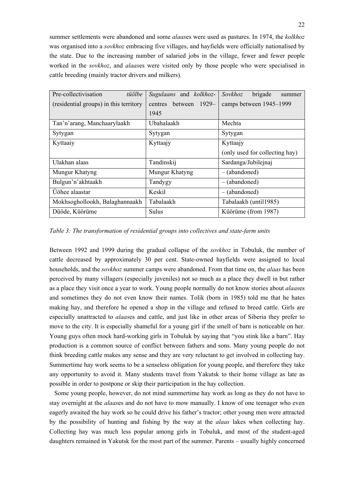summer settlements were abandoned and some *alaas*es were used as pastures. In 1974, the *kolkhoz* was organised into a *sovkhoz* embracing five villages, and hayfields were officially nationalised by the state. Due to the increasing number of salaried jobs in the village, fewer and fewer people worked in the *sovkhoz*, and *alaas*es were visited only by those people who were specialised in cattle breeding (mainly tractor drivers and milkers).

| Pre-collectivisation<br>tüölbe         | Sugulaans and kolkhoz-        | Sovkhoz<br>brigade<br>summer   |  |
|----------------------------------------|-------------------------------|--------------------------------|--|
| (residential groups) in this territory | between<br>$1929-$<br>centres | camps between 1945-1999        |  |
|                                        | 1945                          |                                |  |
| Tan'n'arang, Manchaarylaakh            | Ubahalaakh                    | Mechta                         |  |
| Sytygan                                | Sytygan                       | Sytygan                        |  |
| Kyttaaiy                               | Kyttaajy                      | Kyttaajy                       |  |
|                                        |                               | (only used for collecting hay) |  |
| Ulakhan alaas                          | Tandinskij                    | Sardanga/Jubilejnaj            |  |
| Mungur Khatyng                         | Mungur Khatyng                | $-(abandoned)$                 |  |
| Bulgun'n'akhtaakh                      | Tandygy                       | $-(abandoned)$                 |  |
| Uöhee alaastar                         | Keskil                        | $-(abandoned)$                 |  |
| Mokhsoghollookh, Balaghannaakh         | Tabalaakh                     | Tabalaakh (until 1985)         |  |
| Düöde, Küörüme                         | Sulus                         | Küörüme (from 1987)            |  |

*Table 3: The transformation of residential groups into collectives and state-farm units* 

Between 1992 and 1999 during the gradual collapse of the *sovkhoz* in Tobuluk, the number of cattle decreased by approximately 30 per cent. State-owned hayfields were assigned to local households, and the *sovkhoz* summer camps were abandoned. From that time on, the *alaas* has been perceived by many villagers (especially juveniles) not so much as a place they dwell in but rather as a place they visit once a year to work. Young people normally do not know stories about *alaas*es and sometimes they do not even know their names. Tolik (born in 1985) told me that he hates making hay, and therefore he opened a shop in the village and refused to breed cattle. Girls are especially unattracted to *alaas*es and cattle, and just like in other areas of Siberia they prefer to move to the city. It is especially shameful for a young girl if the smell of barn is noticeable on her. Young guys often mock hard-working girls in Tobuluk by saying that "you stink like a barn". Hay production is a common source of conflict between fathers and sons. Many young people do not think breeding cattle makes any sense and they are very reluctant to get involved in collecting hay. Summertime hay work seems to be a senseless obligation for young people, and therefore they take any opportunity to avoid it. Many students travel from Yakutsk to their home village as late as possible in order to postpone or skip their participation in the hay collection.

Some young people, however, do not mind summertime hay work as long as they do not have to stay overnight at the *alaas*es and do not have to mow manually. I know of one teenager who even eagerly awaited the hay work so he could drive his father's tractor; other young men were attracted by the possibility of hunting and fishing by the way at the *alaas* lakes when collecting hay. Collecting hay was much less popular among girls in Tobuluk, and most of the student-aged daughters remained in Yakutsk for the most part of the summer. Parents – usually highly concerned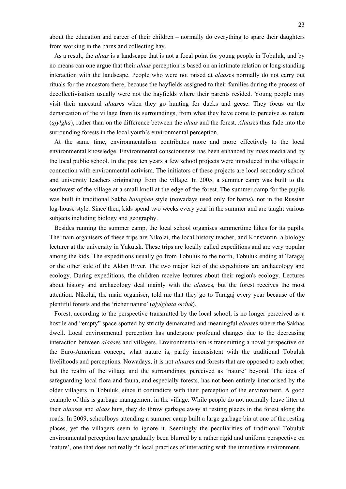about the education and career of their children – normally do everything to spare their daughters from working in the barns and collecting hay.

As a result, the *alaas* is a landscape that is not a focal point for young people in Tobuluk, and by no means can one argue that their *alaas* perception is based on an intimate relation or long-standing interaction with the landscape. People who were not raised at *alaas*es normally do not carry out rituals for the ancestors there, because the hayfields assigned to their families during the process of decollectivisation usually were not the hayfields where their parents resided. Young people may visit their ancestral *alaas*es when they go hunting for ducks and geese. They focus on the demarcation of the village from its surroundings, from what they have come to perceive as nature (*ajylgha*), rather than on the difference between the *alaas* and the forest. *Alaas*es thus fade into the surrounding forests in the local youth's environmental perception.

At the same time, environmentalism contributes more and more effectively to the local environmental knowledge. Environmental consciousness has been enhanced by mass media and by the local public school. In the past ten years a few school projects were introduced in the village in connection with environmental activism. The initiators of these projects are local secondary school and university teachers originating from the village. In 2005, a summer camp was built to the southwest of the village at a small knoll at the edge of the forest. The summer camp for the pupils was built in traditional Sakha *balaghan* style (nowadays used only for barns), not in the Russian log-house style. Since then, kids spend two weeks every year in the summer and are taught various subjects including biology and geography.

Besides running the summer camp, the local school organises summertime hikes for its pupils. The main organisers of these trips are Nikolai, the local history teacher, and Konstantin, a biology lecturer at the university in Yakutsk. These trips are locally called expeditions and are very popular among the kids. The expeditions usually go from Tobuluk to the north, Tobuluk ending at Taragaj or the other side of the Aldan River. The two major foci of the expeditions are archaeology and ecology. During expeditions, the children receive lectures about their region's ecology. Lectures about history and archaeology deal mainly with the *alaas*es, but the forest receives the most attention. Nikolai, the main organiser, told me that they go to Taragaj every year because of the plentiful forests and the 'richer nature' (*ajylghata orduk*).

Forest, according to the perspective transmitted by the local school, is no longer perceived as a hostile and "empty" space spotted by strictly demarcated and meaningful *alaas*es where the Sakhas dwell. Local environmental perception has undergone profound changes due to the decreasing interaction between *alaas*es and villagers. Environmentalism is transmitting a novel perspective on the Euro-American concept, what nature is, partly inconsistent with the traditional Tobuluk livelihoods and perceptions. Nowadays, it is not *alaas*es and forests that are opposed to each other, but the realm of the village and the surroundings, perceived as 'nature' beyond. The idea of safeguarding local flora and fauna, and especially forests, has not been entirely interiorised by the older villagers in Tobuluk, since it contradicts with their perception of the environment. A good example of this is garbage management in the village. While people do not normally leave litter at their *alaas*es and *alaas* huts, they do throw garbage away at resting places in the forest along the roads. In 2009, schoolboys attending a summer camp built a large garbage bin at one of the resting places, yet the villagers seem to ignore it. Seemingly the peculiarities of traditional Tobuluk environmental perception have gradually been blurred by a rather rigid and uniform perspective on 'nature', one that does not really fit local practices of interacting with the immediate environment.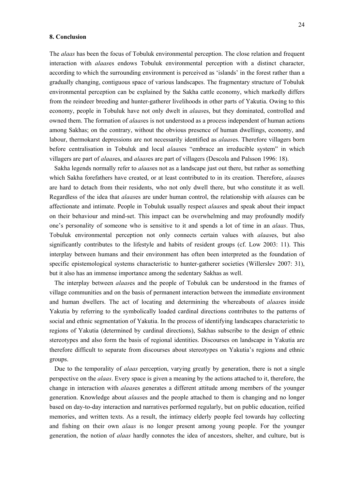#### **8. Conclusion**

The *alaas* has been the focus of Tobuluk environmental perception. The close relation and frequent interaction with *alaas*es endows Tobuluk environmental perception with a distinct character, according to which the surrounding environment is perceived as 'islands' in the forest rather than a gradually changing, contiguous space of various landscapes. The fragmentary structure of Tobuluk environmental perception can be explained by the Sakha cattle economy, which markedly differs from the reindeer breeding and hunter-gatherer livelihoods in other parts of Yakutia. Owing to this economy, people in Tobuluk have not only dwelt in *alaas*es, but they dominated, controlled and owned them. The formation of *alaas*es is not understood as a process independent of human actions among Sakhas; on the contrary, without the obvious presence of human dwellings, economy, and labour, thermokarst depressions are not necessarily identified as *alaas*es. Therefore villagers born before centralisation in Tobuluk and local *alaas*es "embrace an irreducible system" in which villagers are part of *alaas*es, and *alaas*es are part of villagers (Descola and Palsson 1996: 18).

Sakha legends normally refer to *alaas*es not as a landscape just out there, but rather as something which Sakha forefathers have created, or at least contributed to in its creation. Therefore, *alaas*es are hard to detach from their residents, who not only dwell there, but who constitute it as well. Regardless of the idea that *alaas*es are under human control, the relationship with *alaas*es can be affectionate and intimate. People in Tobuluk usually respect *alaas*es and speak about their impact on their behaviour and mind-set. This impact can be overwhelming and may profoundly modify one's personality of someone who is sensitive to it and spends a lot of time in an *alaas*. Thus, Tobuluk environmental perception not only connects certain values with *alaas*es, but also significantly contributes to the lifestyle and habits of resident groups (cf. Low 2003: 11). This interplay between humans and their environment has often been interpreted as the foundation of specific epistemological systems characteristic to hunter-gatherer societies (Willerslev 2007: 31), but it also has an immense importance among the sedentary Sakhas as well.

The interplay between *alaas*es and the people of Tobuluk can be understood in the frames of village communities and on the basis of permanent interaction between the immediate environment and human dwellers. The act of locating and determining the whereabouts of *alaas*es inside Yakutia by referring to the symbolically loaded cardinal directions contributes to the patterns of social and ethnic segmentation of Yakutia. In the process of identifying landscapes characteristic to regions of Yakutia (determined by cardinal directions), Sakhas subscribe to the design of ethnic stereotypes and also form the basis of regional identities. Discourses on landscape in Yakutia are therefore difficult to separate from discourses about stereotypes on Yakutia's regions and ethnic groups.

Due to the temporality of *alaas* perception, varying greatly by generation, there is not a single perspective on the *alaas*. Every space is given a meaning by the actions attached to it, therefore, the change in interaction with *alaas*es generates a different attitude among members of the younger generation. Knowledge about *alaas*es and the people attached to them is changing and no longer based on day-to-day interaction and narratives performed regularly, but on public education, reified memories, and written texts. As a result, the intimacy elderly people feel towards hay collecting and fishing on their own *alaas* is no longer present among young people. For the younger generation, the notion of *alaas* hardly connotes the idea of ancestors, shelter, and culture, but is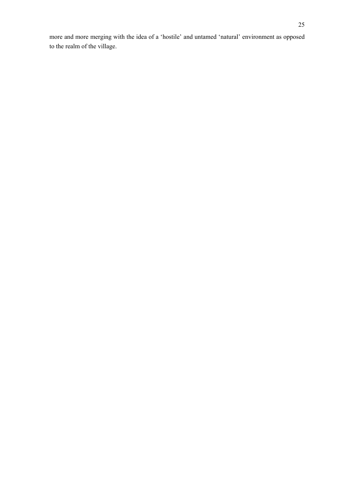more and more merging with the idea of a 'hostile' and untamed 'natural' environment as opposed to the realm of the village.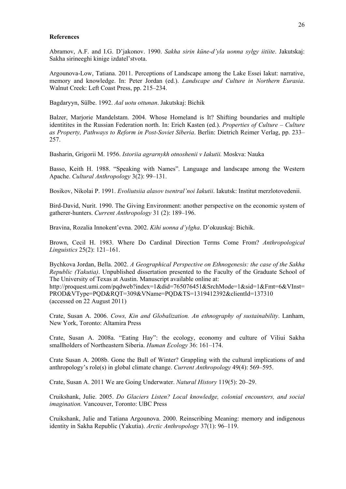# **References**

Abramov, A.F. and I.G. D'jakonov. 1990. *Sakha sirin küne-d'yla uonna sylgy iitiite*. Jakutskaj: Sakha sirineeghi kinige izdatel'stvota.

Argounova-Low, Tatiana. 2011. Perceptions of Landscape among the Lake Essei Iakut: narrative, memory and knowledge. In: Peter Jordan (ed.). *Landscape and Culture in Northern Eurasia*. Walnut Creek: Left Coast Press, pp. 215–234.

Bagdaryyn, Sülbe. 1992. *Aal uotu ottunan*. Jakutskaj: Bichik

Balzer, Marjorie Mandelstam. 2004. Whose Homeland is It? Shifting boundaries and multiple identitites in the Russian Federation north. In: Erich Kasten (ed.). *Properties of Culture – Culture as Property, Pathways to Reform in Post-Soviet Siberia*. Berlin: Dietrich Reimer Verlag, pp. 233– 257.

Basharin, Grigorii M. 1956. *Istoriia agrarnykh otnoshenii v Iakutii.* Moskva: Nauka

Basso, Keith H. 1988. "Speaking with Names". Language and landscape among the Western Apache. *Cultural Anthropology* 3(2): 99–131.

Bosikov, Nikolai P. 1991. *Evoliutsiia alasov tsentral'noi Iakutii*. Iakutsk: Institut merzlotovedenii.

Bird-David, Nurit. 1990. The Giving Environment: another perspective on the economic system of gatherer-hunters. *Current Anthropology* 31 (2): 189–196.

Bravina, Rozalia Innokent'evna. 2002. *Kihi uonna d'ylgha*. D'okuuskaj: Bichik.

Brown, Cecil H. 1983. Where Do Cardinal Direction Terms Come From? *Anthropological Linguistics* 25(2): 121–161.

Bychkova Jordan, Bella. 2002. *A Geographical Perspective on Ethnogenesis: the case of the Sakha Republic (Yakutia)*. Unpublished dissertation presented to the Faculty of the Graduate School of The University of Texas at Austin. Manuscript available online at:

http://proquest.umi.com/pqdweb?index=1&did=765076451&SrchMode=1&sid=1&Fmt=6&VInst= PROD&VType=PQD&RQT=309&VName=PQD&TS=1319412392&clientId=137310 (accessed on 22 August 2011)

Crate, Susan A. 2006. *Cows, Kin and Globalization. An ethnography of sustainability*. Lanham, New York, Toronto: Altamira Press

Crate, Susan A. 2008a. "Eating Hay": the ecology, economy and culture of Viliui Sakha smallholders of Northeastern Siberia. *Human Ecology* 36: 161–174.

Crate Susan A. 2008b. Gone the Bull of Winter? Grappling with the cultural implications of and anthropology's role(s) in global climate change. *Current Anthropology* 49(4): 569–595.

Crate, Susan A. 2011 We are Going Underwater. *Natural History* 119(5): 20–29.

Cruikshank, Julie. 2005. *Do Glaciers Listen? Local knowledge, colonial encounters, and social imagination.* Vancouver, Toronto: UBC Press

Cruikshank, Julie and Tatiana Argounova. 2000. Reinscribing Meaning: memory and indigenous identity in Sakha Republic (Yakutia). *Arctic Anthropology* 37(1): 96–119.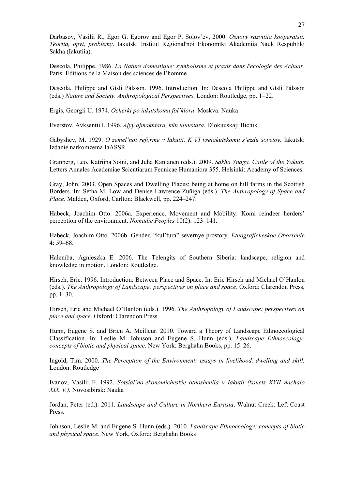Darbasov, Vasilii R., Egor G. Egorov and Egor P. Solov'ev, 2000. *Osnovy razvitiia kooperatsii. Teoriia, opyt, problemy*. Iakutsk: Institut Regional'noi Ekonomiki Akademiia Nauk Respubliki Sakha (Iakutiia).

Descola, Philippe. 1986. *La Nature domestique: symbolisme et praxis dans l'écologie des Achuar*. Paris: Editions de la Maison des sciences de l'homme

Descola, Philippe and Gísli Pálsson. 1996. Introduction. In: Descola Philippe and Gísli Pálsson (eds.) *Nature and Society. Anthropological Perspectives*. London: Routledge, pp. 1−22.

Ergis, Georgii U. 1974. *Ocherki po iakutskomu fol'kloru*. Moskva: Nauka

Everstov, Avksentii I. 1996. *Ajyy ajmakhtara, kün uluustara*. D'okuuskaj: Bichik.

Gabyshev, M. 1929. *O zemel'noi reforme v Iakutii. K VI vseiakutskomu s'ezdu sovetov.* Iakutsk: Izdanie narkomzema IaASSR.

Granberg, Leo, Katriina Soini, and Juha Kantanen (eds.). 2009. *Sakha Ynaga. Cattle of the Yakuts.* Letters Annales Academiae Scientiarum Fennicae Humaniora 355. Helsinki: Academy of Sciences.

Gray, John. 2003. Open Spaces and Dwelling Places: being at home on hill farms in the Scottish Borders. In: Setha M. Low and Denise Lawrence-Zuñiga (eds.). *The Anthropology of Space and Place*. Malden, Oxford, Carlton: Blackwell, pp. 224–247.

Habeck, Joachim Otto. 2006a. Experience, Movement and Mobility: Komi reindeer herders' perception of the environment. *Nomadic Peoples* 10(2): 123–141.

Habeck. Joachim Otto. 2006b. Gender, "kul'tura" severnye prostory. *Etnograficheskoe Obozrenie* 4: 59–68.

Halemba, Agnieszka E. 2006. The Telengits of Southern Siberia: landscape, religion and knowledge in motion. London: Routledge.

Hirsch, Eric. 1996. Introduction: Between Place and Space. In: Eric Hirsch and Michael O'Hanlon (eds.). *The Anthropology of Landscape: perspectives on place and space*. Oxford: Clarendon Press, pp. 1–30.

Hirsch, Eric and Michael O'Hanlon (eds.). 1996. *The Anthropology of Landscape: perspectives on place and space*. Oxford: Clarendon Press.

Hunn, Eugene S. and Brien A. Meilleur. 2010. Toward a Theory of Landscape Ethnoecological Classification. In: Leslie M. Johnson and Eugene S. Hunn (eds.). *Landscape Ethnoecology: concepts of biotic and physical space*. New York: Berghahn Books, pp. 15–26.

Ingold, Tim. 2000. *The Perception of the Environment: essays in livelihood, dwelling and skill.* London: Routledge

Ivanov, Vasilii F. 1992. *Sotsial'no-ekonomicheskie otnosheniia v Iakutii (konets XVII–nachalo XIX. v.).* Novosibirsk: Nauka

Jordan, Peter (ed.). 2011. *Landscape and Culture in Northern Eurasia*. Walnut Creek: Left Coast Press.

Johnson, Leslie M. and Eugene S. Hunn (eds.). 2010*. Landscape Ethnoecology: concepts of biotic and physical space*. New York, Oxford: Berghahn Books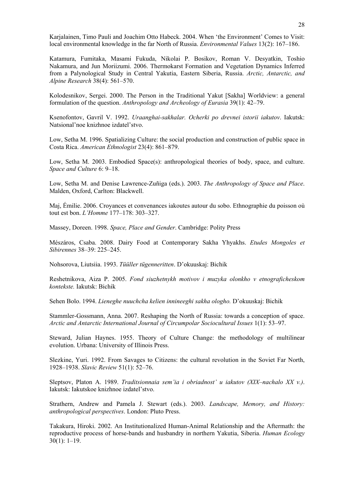Karjalainen, Timo Pauli and Joachim Otto Habeck. 2004. When 'the Environment' Comes to Visit: local environmental knowledge in the far North of Russia. *Environmental Values* 13(2): 167–186.

Katamura, Fumitaka, Masami Fukuda, Nikolai P. Bosikov, Roman V. Desyatkin, Toshio Nakamura, and Jun Moriizumi. 2006. Thermokarst Formation and Vegetation Dynamics Inferred from a Palynological Study in Central Yakutia, Eastern Siberia, Russia. *Arctic, Antarctic, and Alpine Research* 38(4): 561–570.

Kolodesnikov, Sergei. 2000. The Person in the Traditional Yakut [Sakha] Worldview: a general formulation of the question. *Anthropology and Archeology of Eurasia* 39(1): 42–79.

Ksenofontov, Gavril V. 1992. *Uraanghai-sakhalar. Ocherki po drevnei istorii iakutov*. Iakutsk: Natsional'noe knizhnoe izdatel'stvo.

Low, Setha M. 1996. Spatializing Culture: the social production and construction of public space in Costa Rica. *American Ethnologist* 23(4): 861–879.

Low, Setha M. 2003. Embodied Space(s): anthropological theories of body, space, and culture. *Space and Culture* 6: 9–18.

Low, Setha M. and Denise Lawrence-Zuñiga (eds.). 2003. *The Anthropology of Space and Place*. Malden, Oxford, Carlton: Blackwell.

Maj, Émilie. 2006. Croyances et convenances iakoutes autour du sobo. Ethnographie du poisson où tout est bon. *L'Homme* 177–178: 303–327.

Massey, Doreen. 1998. *Space, Place and Gender*. Cambridge: Polity Press

Mészáros, Csaba. 2008. Dairy Food at Contemporary Sakha Yhyakhs. *Etudes Mongoles et Sibirennes* 38–39: 225–245.

Nohsorova, Liutsiia. 1993. *Tüüller tügenneritten*. D'okuuskaj: Bichik

Reshetnikova, Aiza P. 2005. *Fond siuzhetnykh motivov i muzyka olonkho v etnograficheskom kontekste.* Iakutsk: Bichik

Sehen Bolo. 1994. *Lieneghe nuuchcha kelien innineeghi sakha ologho.* D'okuuskaj: Bichik

Stammler-Gossmann, Anna. 2007. Reshaping the North of Russia: towards a conception of space. *Arctic and Antarctic International Journal of Circumpolar Sociocultural Issues* 1(1): 53–97.

Steward, Julian Haynes. 1955. Theory of Culture Change: the methodology of multilinear evolution. Urbana: University of Illinois Press.

Slezkine, Yuri. 1992. From Savages to Citizens: the cultural revolution in the Soviet Far North, 1928–1938. *Slavic Review* 51(1): 52–76.

Sleptsov, Platon A. 1989. *Traditsionnaia sem'ia i obriadnost' u iakutov (XIX–nachalo XX v.)*. Iakutsk: Iakutskoe knizhnoe izdatel'stvo.

Strathern, Andrew and Pamela J. Stewart (eds.). 2003. *Landscape, Memory, and History: anthropological perspectives*. London: Pluto Press.

Takakura, Hiroki. 2002. An Institutionalized Human-Animal Relationship and the Aftermath: the reproductive process of horse-bands and husbandry in northern Yakutia, Siberia. *Human Ecology*  $30(1): 1-19.$